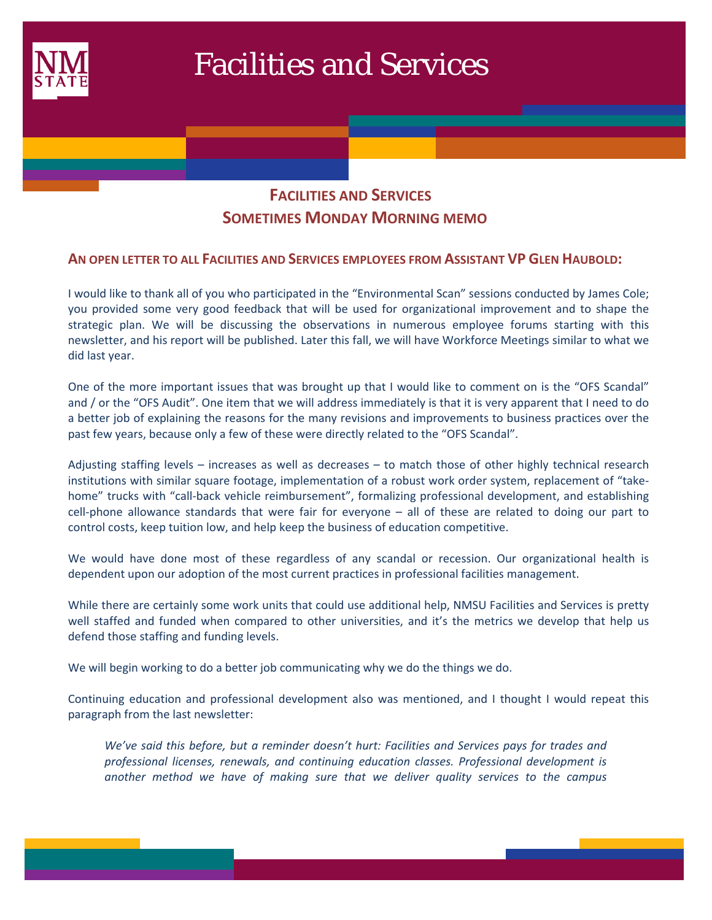

 $\mathcal{L}(\mathcal{L})$ 

# Facilities and Services

## **FACILITIES AND SERVICES SOMETIMES MONDAY MORNING MEMO**

#### **AN OPEN LETTER TO ALL FACILITIES AND SERVICES EMPLOYEES FROM ASSISTANT VP GLEN HAUBOLD:**

I would like to thank all of you who participated in the "Environmental Scan" sessions conducted by James Cole; you provided some very good feedback that will be used for organizational improvement and to shape the strategic plan. We will be discussing the observations in numerous employee forums starting with this newsletter, and his report will be published. Later this fall, we will have Workforce Meetings similar to what we did last year.

One of the more important issues that was brought up that I would like to comment on is the "OFS Scandal" and / or the "OFS Audit". One item that we will address immediately is that it is very apparent that I need to do a better job of explaining the reasons for the many revisions and improvements to business practices over the past few years, because only a few of these were directly related to the "OFS Scandal".

Adjusting staffing levels – increases as well as decreases – to match those of other highly technical research institutions with similar square footage, implementation of a robust work order system, replacement of "take‐ home" trucks with "call-back vehicle reimbursement", formalizing professional development, and establishing cell‐phone allowance standards that were fair for everyone – all of these are related to doing our part to control costs, keep tuition low, and help keep the business of education competitive.

We would have done most of these regardless of any scandal or recession. Our organizational health is dependent upon our adoption of the most current practices in professional facilities management.

While there are certainly some work units that could use additional help, NMSU Facilities and Services is pretty well staffed and funded when compared to other universities, and it's the metrics we develop that help us defend those staffing and funding levels.

We will begin working to do a better job communicating why we do the things we do.

Continuing education and professional development also was mentioned, and I thought I would repeat this paragraph from the last newsletter:

*We've said this before, but a reminder doesn't hurt: Facilities and Services pays for trades and professional licenses, renewals, and continuing education classes. Professional development is another method we have of making sure that we deliver quality services to the campus*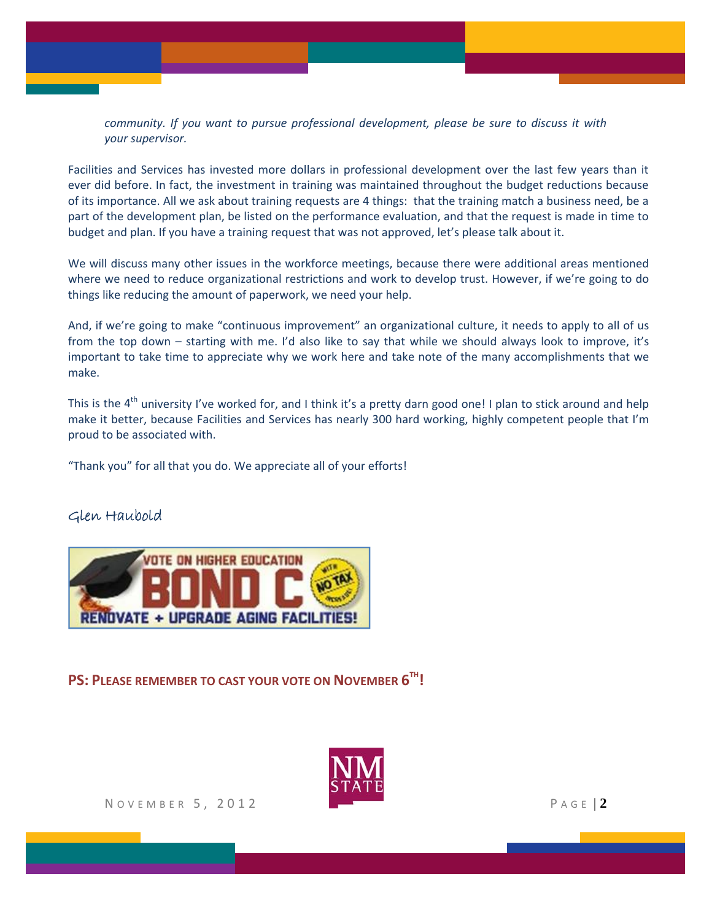*community. If you want to pursue professional development, please be sure to discuss it with your supervisor.*

Facilities and Services has invested more dollars in professional development over the last few years than it ever did before. In fact, the investment in training was maintained throughout the budget reductions because of its importance. All we ask about training requests are 4 things: that the training match a business need, be a part of the development plan, be listed on the performance evaluation, and that the request is made in time to budget and plan. If you have a training request that was not approved, let's please talk about it.

We will discuss many other issues in the workforce meetings, because there were additional areas mentioned where we need to reduce organizational restrictions and work to develop trust. However, if we're going to do things like reducing the amount of paperwork, we need your help.

And, if we're going to make "continuous improvement" an organizational culture, it needs to apply to all of us from the top down – starting with me. I'd also like to say that while we should always look to improve, it's important to take time to appreciate why we work here and take note of the many accomplishments that we make.

This is the  $4<sup>th</sup>$  university I've worked for, and I think it's a pretty darn good one! I plan to stick around and help make it better, because Facilities and Services has nearly 300 hard working, highly competent people that I'm proud to be associated with.

"Thank you" for all that you do. We appreciate all of your efforts!

### Glen Haubold



## **PS: PLEASE REMEMBER TO CAST YOUR VOTE ON NOVEMBER 6TH!**

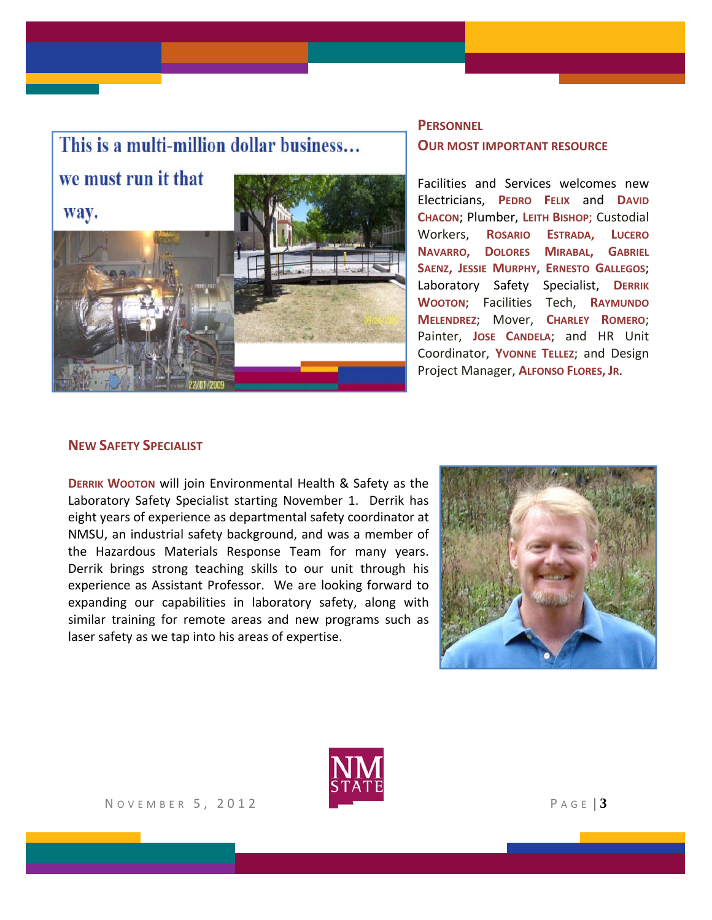## This is a multi-million dollar business...



## **PERSONNEL OUR MOST IMPORTANT RESOURCE**

Facilities and Services welcomes new Electricians, **PEDRO FELIX** and **DAVID CHACON**; Plumber, **LEITH BISHOP**; Custodial Workers, **ROSARIO ESTRADA, LUCERO NAVARRO, DOLORES MIRABAL, GABRIEL SAENZ, JESSIE MURPHY, ERNESTO GALLEGOS**; Laboratory Safety Specialist, **DERRIK WOOTON**; Facilities Tech, **RAYMUNDO MELENDREZ**; Mover, **CHARLEY ROMERO**; Painter, **JOSE CANDELA**; and HR Unit Coordinator, **YVONNE TELLEZ**; and Design Project Manager, **ALFONSO FLORES, JR**.

#### **NEW SAFETY SPECIALIST**

**DERRIK WOOTON** will join Environmental Health & Safety as the Laboratory Safety Specialist starting November 1. Derrik has eight years of experience as departmental safety coordinator at NMSU, an industrial safety background, and was a member of the Hazardous Materials Response Team for many years. Derrik brings strong teaching skills to our unit through his experience as Assistant Professor. We are looking forward to expanding our capabilities in laboratory safety, along with similar training for remote areas and new programs such as laser safety as we tap into his areas of expertise.



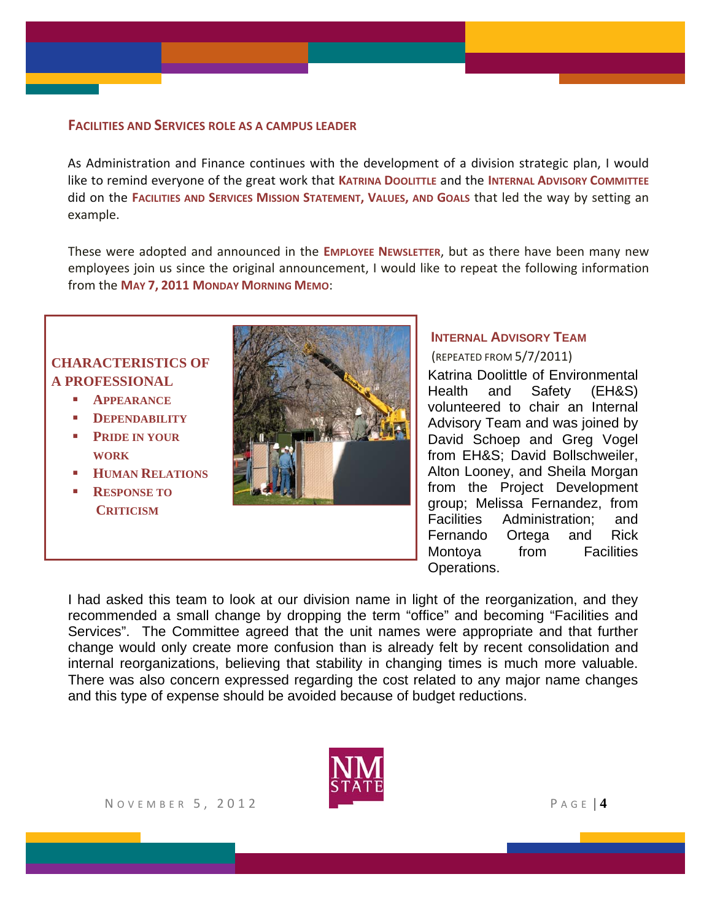#### **FACILITIES AND SERVICES ROLE AS A CAMPUS LEADER**

As Administration and Finance continues with the development of a division strategic plan, I would like to remind everyone of the great work that **KATRINA DOOLITTLE** and the **INTERNAL ADVISORY COMMITTEE** did on the **FACILITIES AND SERVICES MISSION STATEMENT, VALUES, AND GOALS** that led the way by setting an example.

These were adopted and announced in the **EMPLOYEE NEWSLETTER**, but as there have been many new employees join us since the original announcement, I would like to repeat the following information from the **MAY 7, 2011 MONDAY MORNING MEMO**:

### **CHARACTERISTICS OF A PROFESSIONAL**

- **APPEARANCE**
- **DEPENDABILITY**
- **PRIDE IN YOUR WORK**
- **HUMAN RELATIONS**
- **RESPONSE TO CRITICISM**



## **INTERNAL ADVISORY TEAM** (REPEATED FROM 5/7/2011)

Katrina Doolittle of Environmental Health and Safety (EH&S) volunteered to chair an Internal Advisory Team and was joined by David Schoep and Greg Vogel from EH&S; David Bollschweiler, Alton Looney, and Sheila Morgan from the Project Development group; Melissa Fernandez, from Facilities Administration; and Fernando Ortega and Rick Montoya from Facilities Operations.

I had asked this team to look at our division name in light of the reorganization, and they recommended a small change by dropping the term "office" and becoming "Facilities and Services". The Committee agreed that the unit names were appropriate and that further change would only create more confusion than is already felt by recent consolidation and internal reorganizations, believing that stability in changing times is much more valuable. There was also concern expressed regarding the cost related to any major name changes and this type of expense should be avoided because of budget reductions.

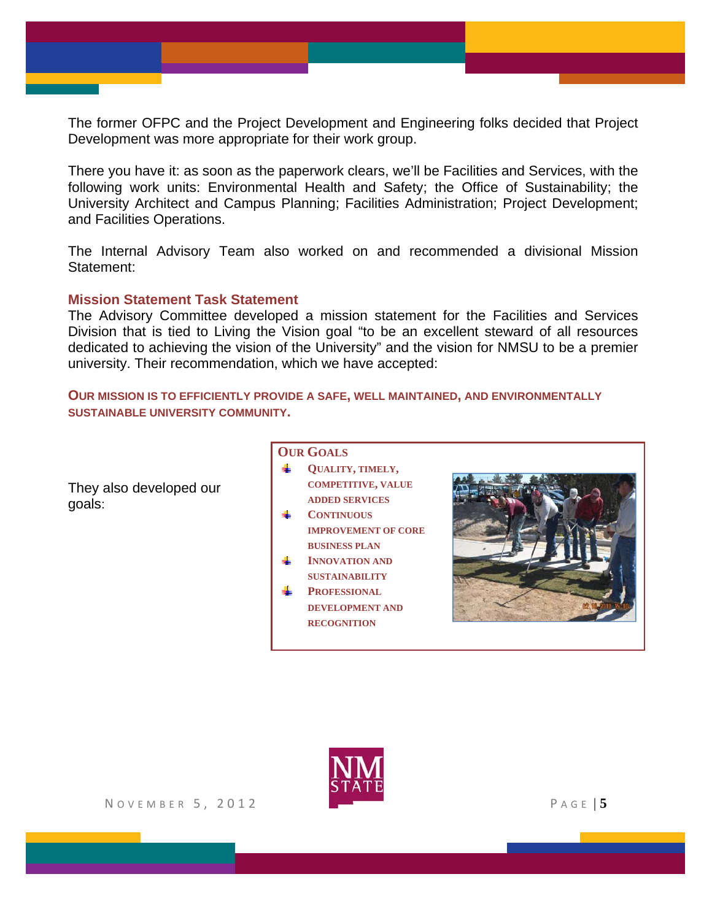The former OFPC and the Project Development and Engineering folks decided that Project Development was more appropriate for their work group.

There you have it: as soon as the paperwork clears, we'll be Facilities and Services, with the following work units: Environmental Health and Safety; the Office of Sustainability; the University Architect and Campus Planning; Facilities Administration; Project Development; and Facilities Operations.

The Internal Advisory Team also worked on and recommended a divisional Mission Statement:

#### **Mission Statement Task Statement**

The Advisory Committee developed a mission statement for the Facilities and Services Division that is tied to Living the Vision goal "to be an excellent steward of all resources dedicated to achieving the vision of the University" and the vision for NMSU to be a premier university. Their recommendation, which we have accepted:

**OUR MISSION IS TO EFFICIENTLY PROVIDE A SAFE, WELL MAINTAINED, AND ENVIRONMENTALLY SUSTAINABLE UNIVERSITY COMMUNITY.** 

They also developed our goals:

#### **OUR GOALS**

- **ALC QUALITY, TIMELY, COMPETITIVE, VALUE ADDED SERVICES**
- **CONTINUOUS IMPROVEMENT OF CORE BUSINESS PLAN**
- **INNOVATION AND SUSTAINABILITY**
- **PROFESSIONAL DEVELOPMENT AND RECOGNITION**



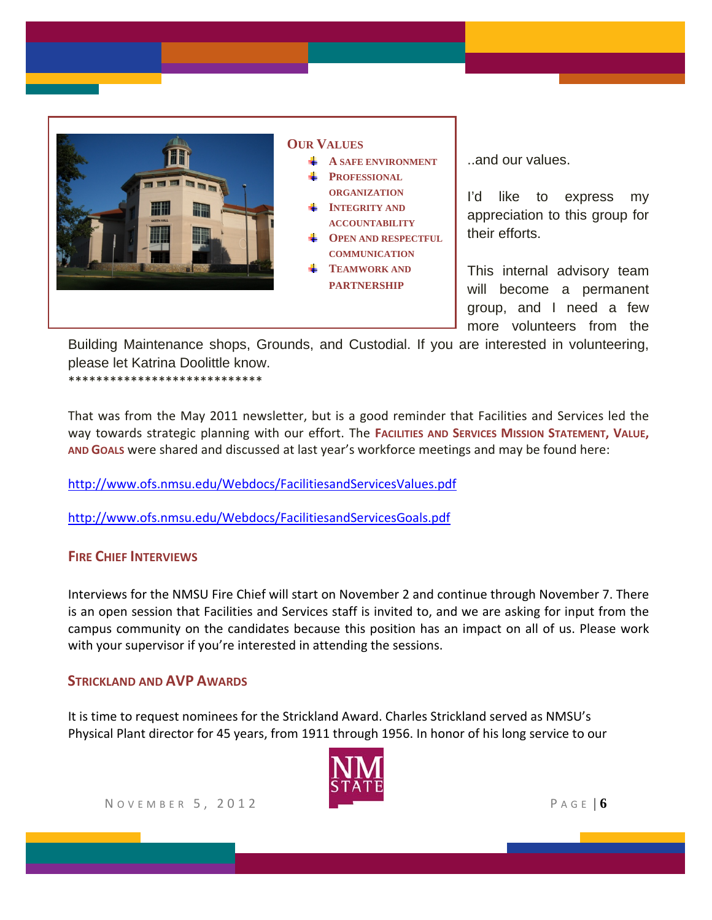

..and our values.

I'd like to express my appreciation to this group for their efforts.

This internal advisory team will become a permanent group, and I need a few more volunteers from the

Building Maintenance shops, Grounds, and Custodial. If you are interested in volunteering, please let Katrina Doolittle know. \*\*\*\*\*\*\*\*\*\*\*\*\*\*\*\*\*\*\*\*\*\*\*\*\*\*\*\*

That was from the May 2011 newsletter, but is a good reminder that Facilities and Services led the way towards strategic planning with our effort. The **FACILITIES AND SERVICES MISSION STATEMENT, VALUE, AND GOALS** were shared and discussed at last year's workforce meetings and may be found here:

<http://www.ofs.nmsu.edu/Webdocs/FacilitiesandServicesValues.pdf>

<http://www.ofs.nmsu.edu/Webdocs/FacilitiesandServicesGoals.pdf>

## **FIRE CHIEF INTERVIEWS**

Interviews for the NMSU Fire Chief will start on November 2 and continue through November 7. There is an open session that Facilities and Services staff is invited to, and we are asking for input from the campus community on the candidates because this position has an impact on all of us. Please work with your supervisor if you're interested in attending the sessions.

## **STRICKLAND AND AVP AWARDS**

It is time to request nominees for the Strickland Award. Charles Strickland served as NMSU's Physical Plant director for 45 years, from 1911 through 1956. In honor of his long service to our



N O V E M B E R 5, 2012 **PAGE | 6**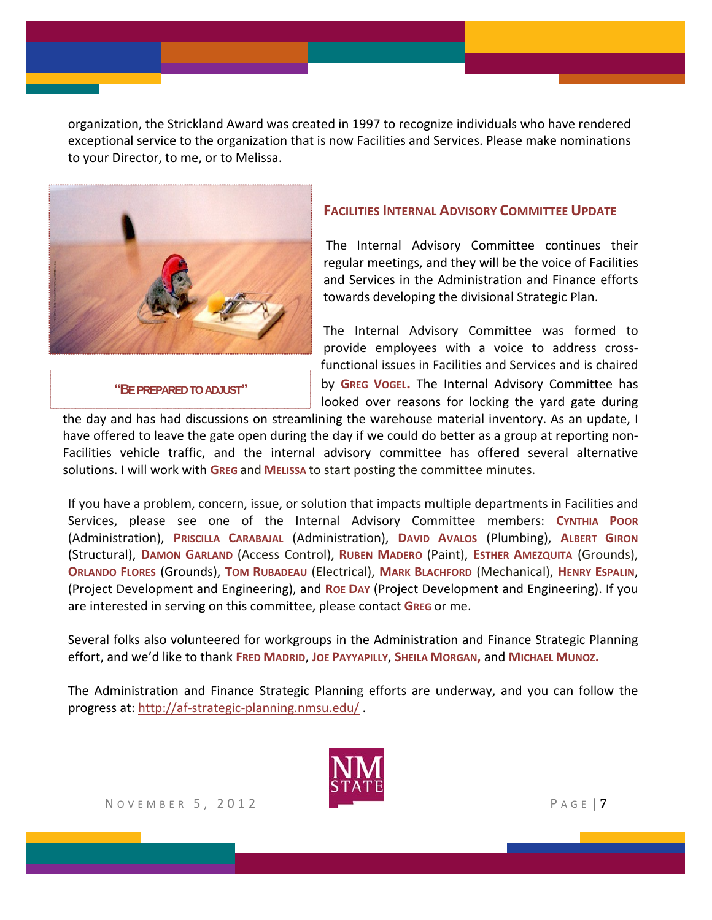organization, the Strickland Award was created in 1997 to recognize individuals who have rendered exceptional service to the organization that is now Facilities and Services. Please make nominations to your Director, to me, or to Melissa.



**"BE PREPARED TO ADJUST"**

### **FACILITIES INTERNAL ADVISORY COMMITTEE UPDATE**

The Internal Advisory Committee continues their regular meetings, and they will be the voice of Facilities and Services in the Administration and Finance efforts towards developing the divisional Strategic Plan.

The Internal Advisory Committee was formed to provide employees with a voice to address cross‐ functional issues in Facilities and Services and is chaired by **GREG VOGEL.** The Internal Advisory Committee has looked over reasons for locking the yard gate during

the day and has had discussions on streamlining the warehouse material inventory. As an update, I have offered to leave the gate open during the day if we could do better as a group at reporting non-Facilities vehicle traffic, and the internal advisory committee has offered several alternative solutions. I will work with **GREG** and **MELISSA** to start posting the committee minutes.

If you have a problem, concern, issue, or solution that impacts multiple departments in Facilities and Services, please see one of the Internal Advisory Committee members: **CYNTHIA POOR** (Administration), **PRISCILLA CARABAJAL** (Administration), **DAVID AVALOS** (Plumbing), **ALBERT GIRON** (Structural), **DAMON GARLAND** (Access Control), **RUBEN MADERO** (Paint), **ESTHER AMEZQUITA** (Grounds), **ORLANDO FLORES** (Grounds), **TOM RUBADEAU** (Electrical), **MARK BLACHFORD** (Mechanical), **HENRY ESPALIN**, (Project Development and Engineering), and **ROE DAY** (Project Development and Engineering). If you are interested in serving on this committee, please contact **GREG** or me.

Several folks also volunteered for workgroups in the Administration and Finance Strategic Planning effort, and we'd like to thank **FRED MADRID**, **JOE PAYYAPILLY**, **SHEILA MORGAN,** and **MICHAEL MUNOZ.**

The Administration and Finance Strategic Planning efforts are underway, and you can follow the progress at: http://af-strategic-[planning.nmsu.edu/](http://af-strategic-planning.nmsu.edu/).



N O V E M B E R 5, 2012 **PAGE | 7**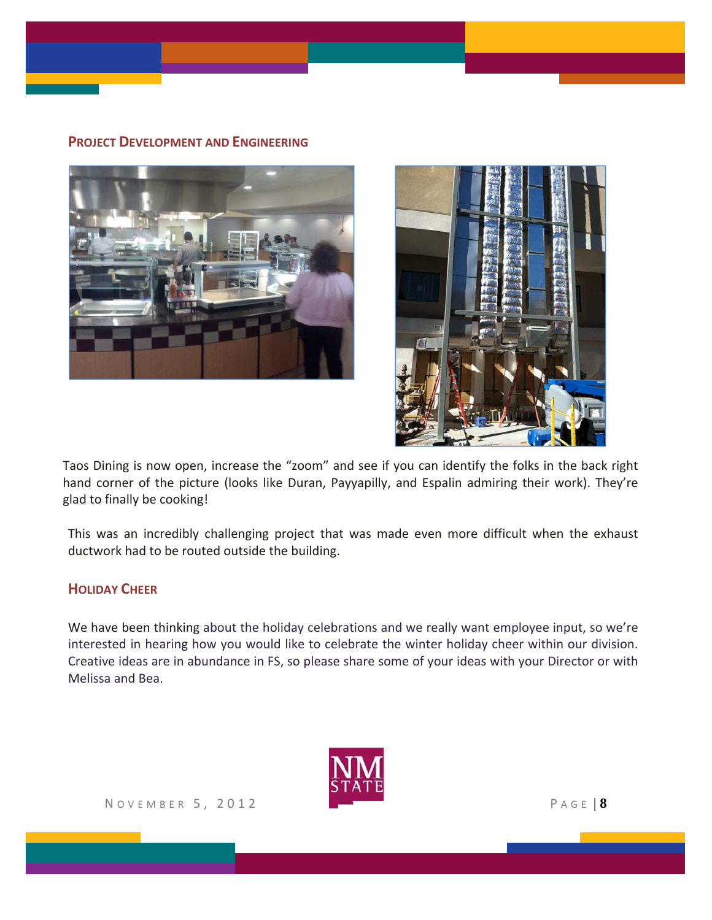#### **PROJECT DEVELOPMENT AND ENGINEERING**





Taos Dining is now open, increase the "zoom" and see if you can identify the folks in the back right hand corner of the picture (looks like Duran, Payyapilly, and Espalin admiring their work). They're glad to finally be cooking!

This was an incredibly challenging project that was made even more difficult when the exhaust ductwork had to be routed outside the building.

## **HOLIDAY CHEER**

We have been thinking about the holiday celebrations and we really want employee input, so we're interested in hearing how you would like to celebrate the winter holiday cheer within our division. Creative ideas are in abundance in FS, so please share some of your ideas with your Director or with Melissa and Bea.

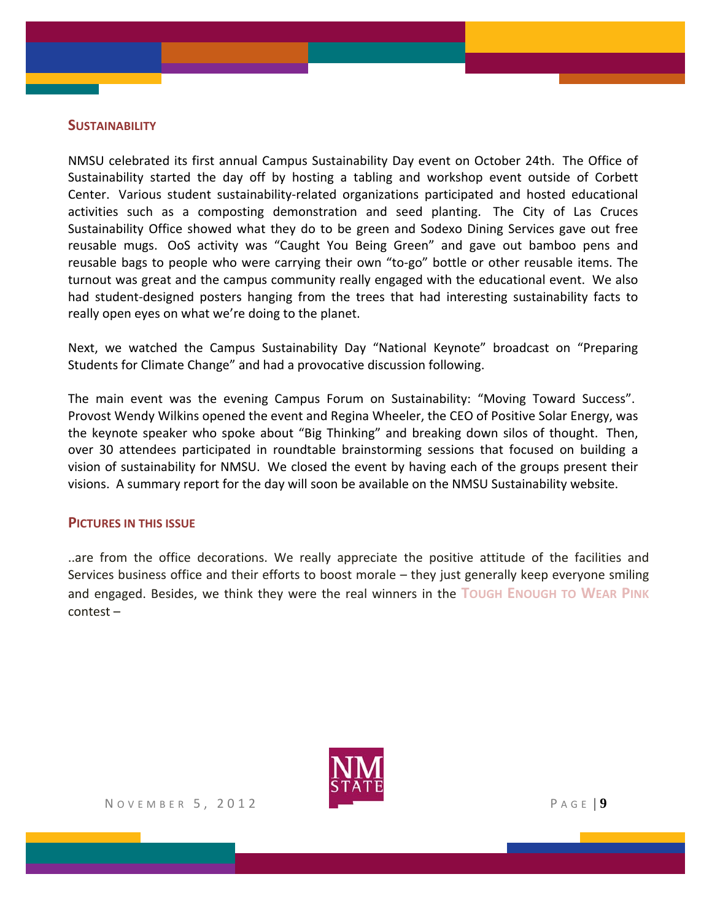#### **SUSTAINABILITY**

NMSU celebrated its first annual Campus Sustainability Day event on October 24th. The Office of Sustainability started the day off by hosting a tabling and workshop event outside of Corbett Center. Various student sustainability-related organizations participated and hosted educational activities such as a composting demonstration and seed planting. The City of Las Cruces Sustainability Office showed what they do to be green and Sodexo Dining Services gave out free reusable mugs. OoS activity was "Caught You Being Green" and gave out bamboo pens and reusable bags to people who were carrying their own "to-go" bottle or other reusable items. The turnout was great and the campus community really engaged with the educational event. We also had student‐designed posters hanging from the trees that had interesting sustainability facts to really open eyes on what we're doing to the planet.

Next, we watched the Campus Sustainability Day "National Keynote" broadcast on "Preparing Students for Climate Change" and had a provocative discussion following.

The main event was the evening Campus Forum on Sustainability: "Moving Toward Success". Provost Wendy Wilkins opened the event and Regina Wheeler, the CEO of Positive Solar Energy, was the keynote speaker who spoke about "Big Thinking" and breaking down silos of thought. Then, over 30 attendees participated in roundtable brainstorming sessions that focused on building a vision of sustainability for NMSU. We closed the event by having each of the groups present their visions. A summary report for the day will soon be available on the NMSU Sustainability website.

#### **PICTURES IN THIS ISSUE**

..are from the office decorations. We really appreciate the positive attitude of the facilities and Services business office and their efforts to boost morale – they just generally keep everyone smiling and engaged. Besides, we think they were the real winners in the **TOUGH ENOUGH TO WEAR PINK** contest –

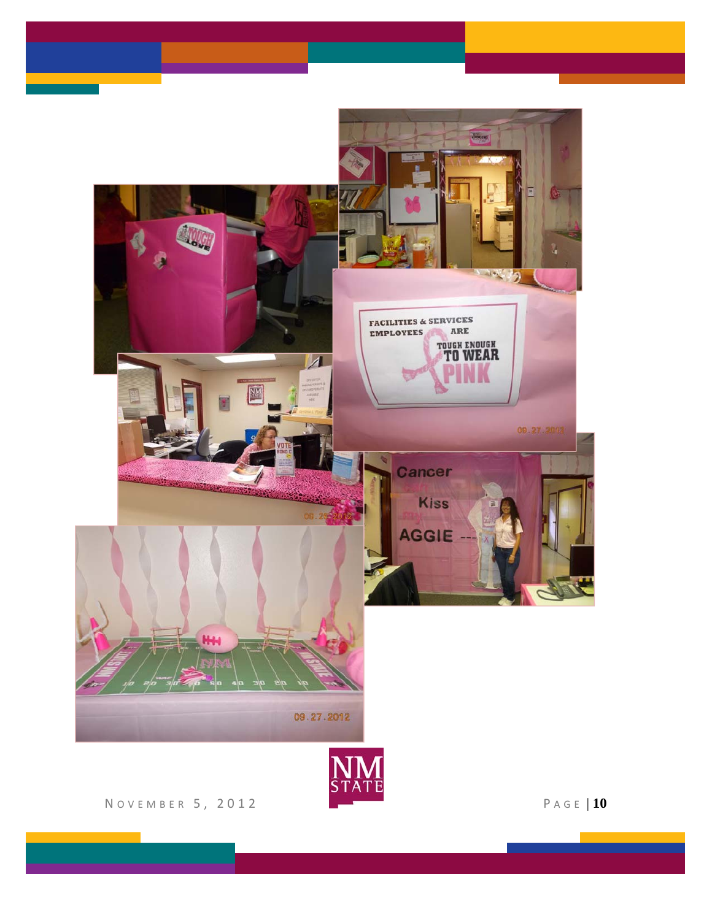



N OVEMBER 5 , 2012 P AGE | **10**